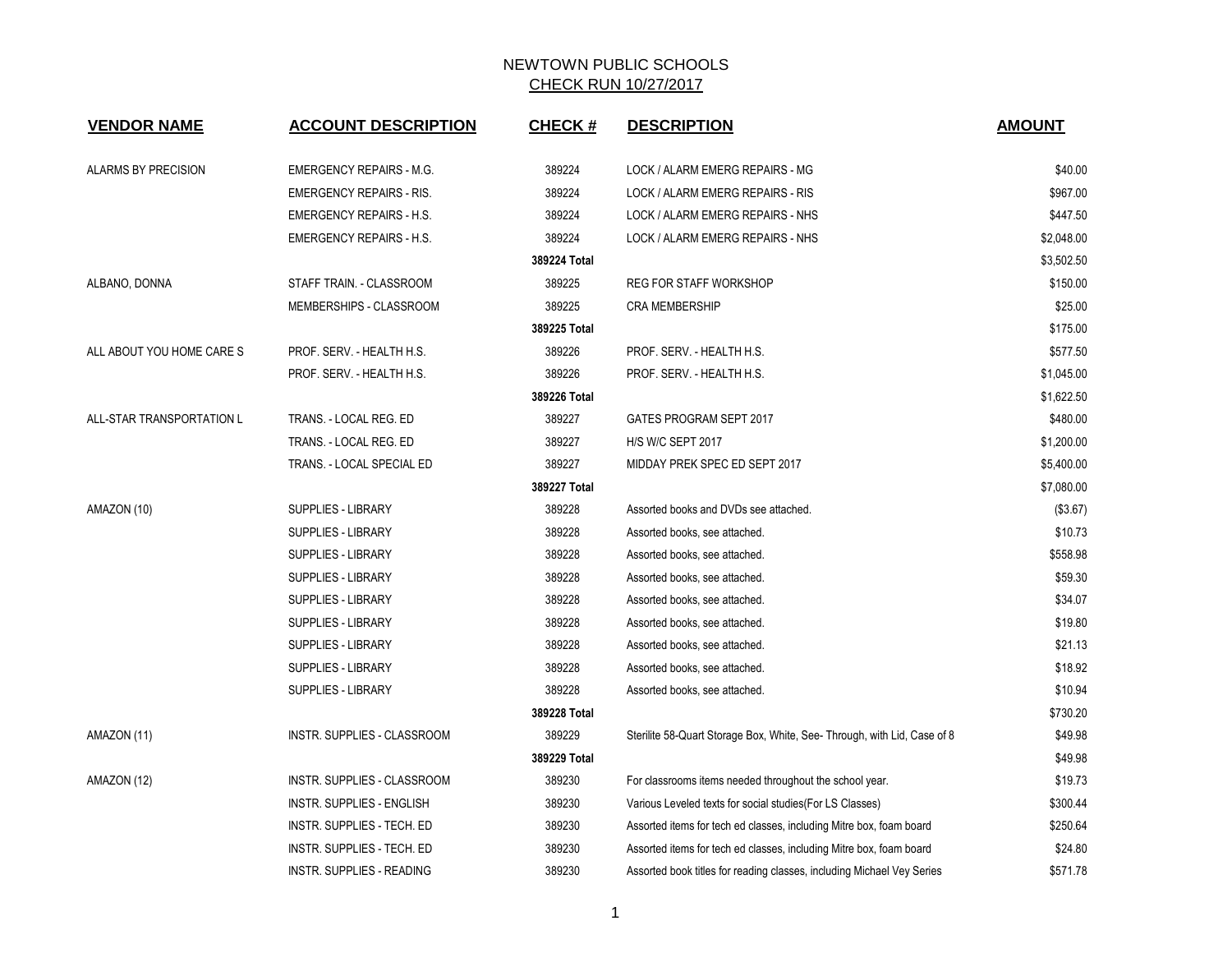| <b>VENDOR NAME</b>        | <b>ACCOUNT DESCRIPTION</b>       | <b>CHECK#</b> | <b>DESCRIPTION</b>                                                       | <b>AMOUNT</b> |
|---------------------------|----------------------------------|---------------|--------------------------------------------------------------------------|---------------|
|                           |                                  |               |                                                                          |               |
| ALARMS BY PRECISION       | <b>EMERGENCY REPAIRS - M.G.</b>  | 389224        | LOCK / ALARM EMERG REPAIRS - MG                                          | \$40.00       |
|                           | <b>EMERGENCY REPAIRS - RIS.</b>  | 389224        | LOCK / ALARM EMERG REPAIRS - RIS                                         | \$967.00      |
|                           | <b>EMERGENCY REPAIRS - H.S.</b>  | 389224        | LOCK / ALARM EMERG REPAIRS - NHS                                         | \$447.50      |
|                           | <b>EMERGENCY REPAIRS - H.S.</b>  | 389224        | LOCK / ALARM EMERG REPAIRS - NHS                                         | \$2,048.00    |
|                           |                                  | 389224 Total  |                                                                          | \$3,502.50    |
| ALBANO, DONNA             | STAFF TRAIN. - CLASSROOM         | 389225        | <b>REG FOR STAFF WORKSHOP</b>                                            | \$150.00      |
|                           | MEMBERSHIPS - CLASSROOM          | 389225        | <b>CRA MEMBERSHIP</b>                                                    | \$25.00       |
|                           |                                  | 389225 Total  |                                                                          | \$175.00      |
| ALL ABOUT YOU HOME CARE S | PROF. SERV. - HEALTH H.S.        | 389226        | PROF. SERV. - HEALTH H.S.                                                | \$577.50      |
|                           | PROF. SERV. - HEALTH H.S.        | 389226        | PROF. SERV. - HEALTH H.S.                                                | \$1,045.00    |
|                           |                                  | 389226 Total  |                                                                          | \$1,622.50    |
| ALL-STAR TRANSPORTATION L | TRANS. - LOCAL REG. ED           | 389227        | GATES PROGRAM SEPT 2017                                                  | \$480.00      |
|                           | TRANS. - LOCAL REG. ED           | 389227        | <b>H/S W/C SEPT 2017</b>                                                 | \$1,200.00    |
|                           | TRANS. - LOCAL SPECIAL ED        | 389227        | MIDDAY PREK SPEC ED SEPT 2017                                            | \$5,400.00    |
|                           |                                  | 389227 Total  |                                                                          | \$7,080.00    |
| AMAZON (10)               | <b>SUPPLIES - LIBRARY</b>        | 389228        | Assorted books and DVDs see attached.                                    | (\$3.67)      |
|                           | <b>SUPPLIES - LIBRARY</b>        | 389228        | Assorted books, see attached.                                            | \$10.73       |
|                           | SUPPLIES - LIBRARY               | 389228        | Assorted books, see attached.                                            | \$558.98      |
|                           | <b>SUPPLIES - LIBRARY</b>        | 389228        | Assorted books, see attached.                                            | \$59.30       |
|                           | <b>SUPPLIES - LIBRARY</b>        | 389228        | Assorted books, see attached.                                            | \$34.07       |
|                           | <b>SUPPLIES - LIBRARY</b>        | 389228        | Assorted books, see attached.                                            | \$19.80       |
|                           | <b>SUPPLIES - LIBRARY</b>        | 389228        | Assorted books, see attached.                                            | \$21.13       |
|                           | <b>SUPPLIES - LIBRARY</b>        | 389228        | Assorted books, see attached.                                            | \$18.92       |
|                           | SUPPLIES - LIBRARY               | 389228        | Assorted books, see attached.                                            | \$10.94       |
|                           |                                  | 389228 Total  |                                                                          | \$730.20      |
| AMAZON (11)               | INSTR. SUPPLIES - CLASSROOM      | 389229        | Sterilite 58-Quart Storage Box, White, See- Through, with Lid, Case of 8 | \$49.98       |
|                           |                                  | 389229 Total  |                                                                          | \$49.98       |
| AMAZON (12)               | INSTR. SUPPLIES - CLASSROOM      | 389230        | For classrooms items needed throughout the school year.                  | \$19.73       |
|                           | INSTR. SUPPLIES - ENGLISH        | 389230        | Various Leveled texts for social studies (For LS Classes)                | \$300.44      |
|                           | INSTR. SUPPLIES - TECH. ED       | 389230        | Assorted items for tech ed classes, including Mitre box, foam board      | \$250.64      |
|                           | INSTR. SUPPLIES - TECH. ED       | 389230        | Assorted items for tech ed classes, including Mitre box, foam board      | \$24.80       |
|                           | <b>INSTR. SUPPLIES - READING</b> | 389230        | Assorted book titles for reading classes, including Michael Vey Series   | \$571.78      |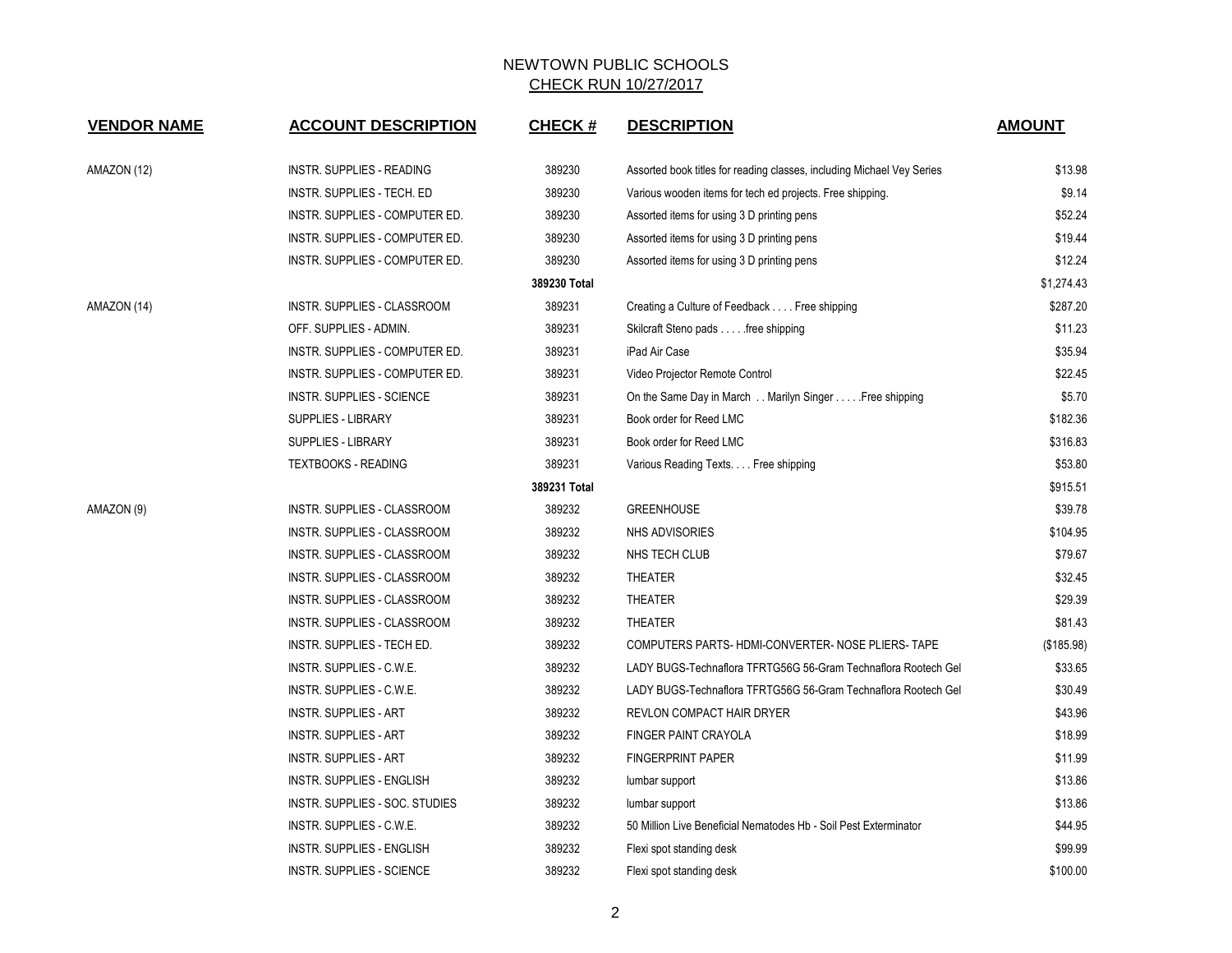| <b>VENDOR NAME</b> | <b>ACCOUNT DESCRIPTION</b>       | <b>CHECK#</b> | <b>DESCRIPTION</b>                                                     | <b>AMOUNT</b> |
|--------------------|----------------------------------|---------------|------------------------------------------------------------------------|---------------|
| AMAZON (12)        | INSTR. SUPPLIES - READING        | 389230        | Assorted book titles for reading classes, including Michael Vey Series | \$13.98       |
|                    | INSTR. SUPPLIES - TECH. ED       | 389230        | Various wooden items for tech ed projects. Free shipping.              | \$9.14        |
|                    | INSTR. SUPPLIES - COMPUTER ED.   | 389230        | Assorted items for using 3 D printing pens                             | \$52.24       |
|                    | INSTR. SUPPLIES - COMPUTER ED.   | 389230        | Assorted items for using 3 D printing pens                             | \$19.44       |
|                    | INSTR. SUPPLIES - COMPUTER ED.   | 389230        | Assorted items for using 3 D printing pens                             | \$12.24       |
|                    |                                  | 389230 Total  |                                                                        | \$1.274.43    |
| AMAZON (14)        | INSTR. SUPPLIES - CLASSROOM      | 389231        | Creating a Culture of Feedback Free shipping                           | \$287.20      |
|                    | OFF. SUPPLIES - ADMIN.           | 389231        | Skilcraft Steno pads free shipping                                     | \$11.23       |
|                    | INSTR. SUPPLIES - COMPUTER ED.   | 389231        | iPad Air Case                                                          | \$35.94       |
|                    | INSTR. SUPPLIES - COMPUTER ED.   | 389231        | Video Projector Remote Control                                         | \$22.45       |
|                    | INSTR. SUPPLIES - SCIENCE        | 389231        | On the Same Day in March Marilyn Singer Free shipping                  | \$5.70        |
|                    | SUPPLIES - LIBRARY               | 389231        | Book order for Reed LMC                                                | \$182.36      |
|                    | <b>SUPPLIES - LIBRARY</b>        | 389231        | Book order for Reed LMC                                                | \$316.83      |
|                    | <b>TEXTBOOKS - READING</b>       | 389231        | Various Reading Texts. Free shipping                                   | \$53.80       |
|                    |                                  | 389231 Total  |                                                                        | \$915.51      |
| AMAZON (9)         | INSTR. SUPPLIES - CLASSROOM      | 389232        | <b>GREENHOUSE</b>                                                      | \$39.78       |
|                    | INSTR. SUPPLIES - CLASSROOM      | 389232        | <b>NHS ADVISORIES</b>                                                  | \$104.95      |
|                    | INSTR. SUPPLIES - CLASSROOM      | 389232        | NHS TECH CLUB                                                          | \$79.67       |
|                    | INSTR. SUPPLIES - CLASSROOM      | 389232        | <b>THEATER</b>                                                         | \$32.45       |
|                    | INSTR. SUPPLIES - CLASSROOM      | 389232        | <b>THEATER</b>                                                         | \$29.39       |
|                    | INSTR. SUPPLIES - CLASSROOM      | 389232        | <b>THEATER</b>                                                         | \$81.43       |
|                    | INSTR. SUPPLIES - TECH ED.       | 389232        | COMPUTERS PARTS-HDMI-CONVERTER-NOSE PLIERS-TAPE                        | (\$185.98)    |
|                    | INSTR. SUPPLIES - C.W.E.         | 389232        | LADY BUGS-Technaflora TFRTG56G 56-Gram Technaflora Rootech Gel         | \$33.65       |
|                    | INSTR. SUPPLIES - C.W.E.         | 389232        | LADY BUGS-Technaflora TFRTG56G 56-Gram Technaflora Rootech Gel         | \$30.49       |
|                    | <b>INSTR. SUPPLIES - ART</b>     | 389232        | REVLON COMPACT HAIR DRYER                                              | \$43.96       |
|                    | <b>INSTR. SUPPLIES - ART</b>     | 389232        | <b>FINGER PAINT CRAYOLA</b>                                            | \$18.99       |
|                    | INSTR. SUPPLIES - ART            | 389232        | <b>FINGERPRINT PAPER</b>                                               | \$11.99       |
|                    | INSTR. SUPPLIES - ENGLISH        | 389232        | lumbar support                                                         | \$13.86       |
|                    | INSTR. SUPPLIES - SOC. STUDIES   | 389232        | lumbar support                                                         | \$13.86       |
|                    | INSTR. SUPPLIES - C.W.E.         | 389232        | 50 Million Live Beneficial Nematodes Hb - Soil Pest Exterminator       | \$44.95       |
|                    | <b>INSTR. SUPPLIES - ENGLISH</b> | 389232        | Flexi spot standing desk                                               | \$99.99       |
|                    | <b>INSTR. SUPPLIES - SCIENCE</b> | 389232        | Flexi spot standing desk                                               | \$100.00      |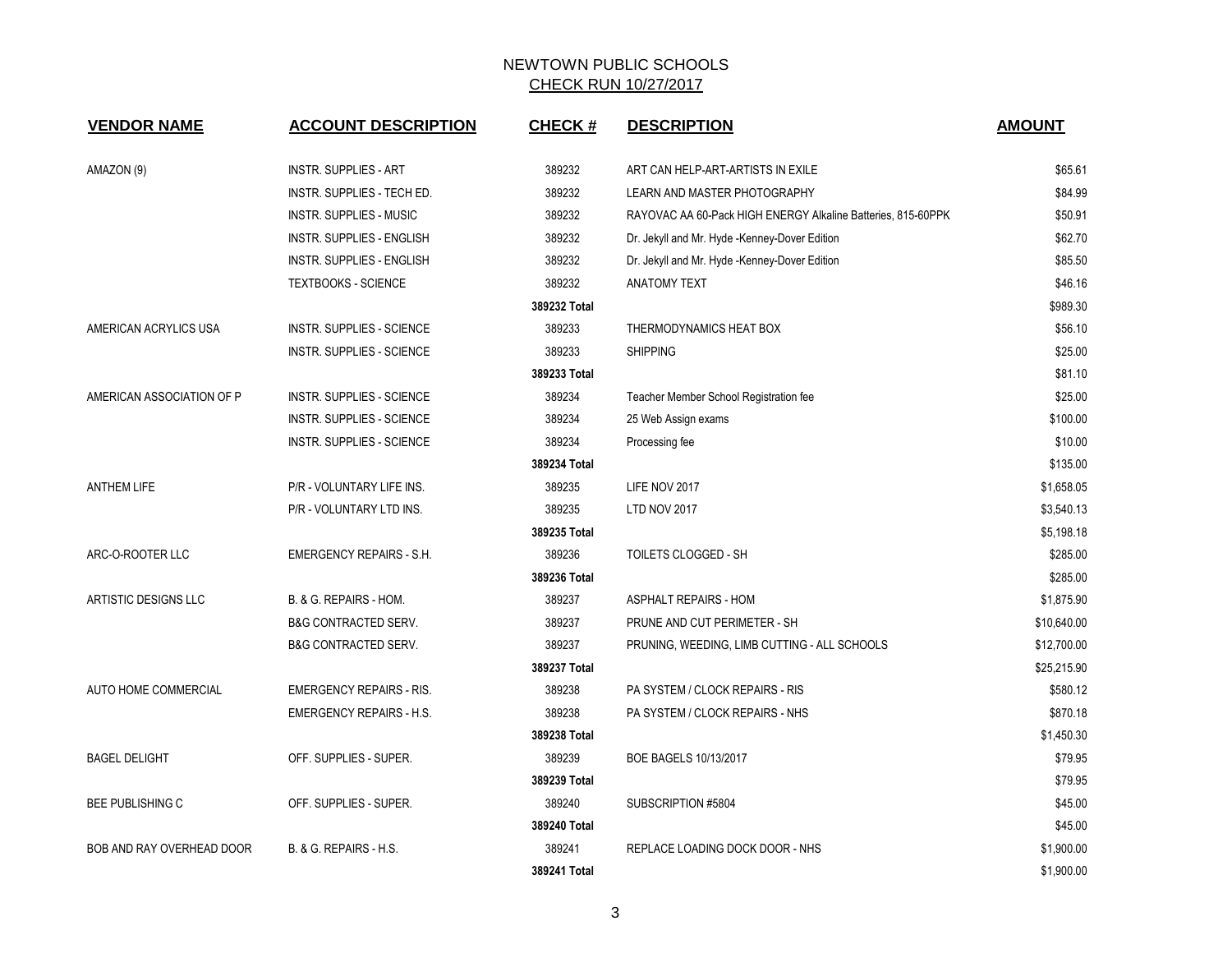| <b>VENDOR NAME</b>          | <b>ACCOUNT DESCRIPTION</b>       | <b>CHECK#</b> | <b>DESCRIPTION</b>                                           | <b>AMOUNT</b> |
|-----------------------------|----------------------------------|---------------|--------------------------------------------------------------|---------------|
| AMAZON (9)                  | <b>INSTR. SUPPLIES - ART</b>     | 389232        | ART CAN HELP-ART-ARTISTS IN EXILE                            | \$65.61       |
|                             | INSTR. SUPPLIES - TECH ED.       | 389232        | LEARN AND MASTER PHOTOGRAPHY                                 | \$84.99       |
|                             | <b>INSTR. SUPPLIES - MUSIC</b>   | 389232        | RAYOVAC AA 60-Pack HIGH ENERGY Alkaline Batteries, 815-60PPK | \$50.91       |
|                             | INSTR. SUPPLIES - ENGLISH        | 389232        | Dr. Jekyll and Mr. Hyde -Kenney-Dover Edition                | \$62.70       |
|                             | INSTR. SUPPLIES - ENGLISH        | 389232        | Dr. Jekyll and Mr. Hyde -Kenney-Dover Edition                | \$85.50       |
|                             | <b>TEXTBOOKS - SCIENCE</b>       | 389232        | <b>ANATOMY TEXT</b>                                          | \$46.16       |
|                             |                                  | 389232 Total  |                                                              | \$989.30      |
| AMERICAN ACRYLICS USA       | INSTR. SUPPLIES - SCIENCE        | 389233        | THERMODYNAMICS HEAT BOX                                      | \$56.10       |
|                             | <b>INSTR. SUPPLIES - SCIENCE</b> | 389233        | <b>SHIPPING</b>                                              | \$25.00       |
|                             |                                  | 389233 Total  |                                                              | \$81.10       |
| AMERICAN ASSOCIATION OF P   | <b>INSTR. SUPPLIES - SCIENCE</b> | 389234        | Teacher Member School Registration fee                       | \$25.00       |
|                             | <b>INSTR. SUPPLIES - SCIENCE</b> | 389234        | 25 Web Assign exams                                          | \$100.00      |
|                             | <b>INSTR. SUPPLIES - SCIENCE</b> | 389234        | Processing fee                                               | \$10.00       |
|                             |                                  | 389234 Total  |                                                              | \$135.00      |
| <b>ANTHEM LIFE</b>          | P/R - VOLUNTARY LIFE INS.        | 389235        | LIFE NOV 2017                                                | \$1,658.05    |
|                             | P/R - VOLUNTARY LTD INS.         | 389235        | LTD NOV 2017                                                 | \$3,540.13    |
|                             |                                  | 389235 Total  |                                                              | \$5,198.18    |
| ARC-O-ROOTER LLC            | <b>EMERGENCY REPAIRS - S.H.</b>  | 389236        | TOILETS CLOGGED - SH                                         | \$285.00      |
|                             |                                  | 389236 Total  |                                                              | \$285.00      |
| ARTISTIC DESIGNS LLC        | B. & G. REPAIRS - HOM.           | 389237        | <b>ASPHALT REPAIRS - HOM</b>                                 | \$1,875.90    |
|                             | <b>B&amp;G CONTRACTED SERV.</b>  | 389237        | PRUNE AND CUT PERIMETER - SH                                 | \$10,640.00   |
|                             | <b>B&amp;G CONTRACTED SERV.</b>  | 389237        | PRUNING, WEEDING, LIMB CUTTING - ALL SCHOOLS                 | \$12,700.00   |
|                             |                                  | 389237 Total  |                                                              | \$25,215.90   |
| <b>AUTO HOME COMMERCIAL</b> | <b>EMERGENCY REPAIRS - RIS.</b>  | 389238        | PA SYSTEM / CLOCK REPAIRS - RIS                              | \$580.12      |
|                             | <b>EMERGENCY REPAIRS - H.S.</b>  | 389238        | PA SYSTEM / CLOCK REPAIRS - NHS                              | \$870.18      |
|                             |                                  | 389238 Total  |                                                              | \$1,450.30    |
| <b>BAGEL DELIGHT</b>        | OFF. SUPPLIES - SUPER.           | 389239        | BOE BAGELS 10/13/2017                                        | \$79.95       |
|                             |                                  | 389239 Total  |                                                              | \$79.95       |
| BEE PUBLISHING C            | OFF. SUPPLIES - SUPER.           | 389240        | SUBSCRIPTION #5804                                           | \$45.00       |
|                             |                                  | 389240 Total  |                                                              | \$45.00       |
| BOB AND RAY OVERHEAD DOOR   | B. & G. REPAIRS - H.S.           | 389241        | REPLACE LOADING DOCK DOOR - NHS                              | \$1,900.00    |
|                             |                                  | 389241 Total  |                                                              | \$1,900.00    |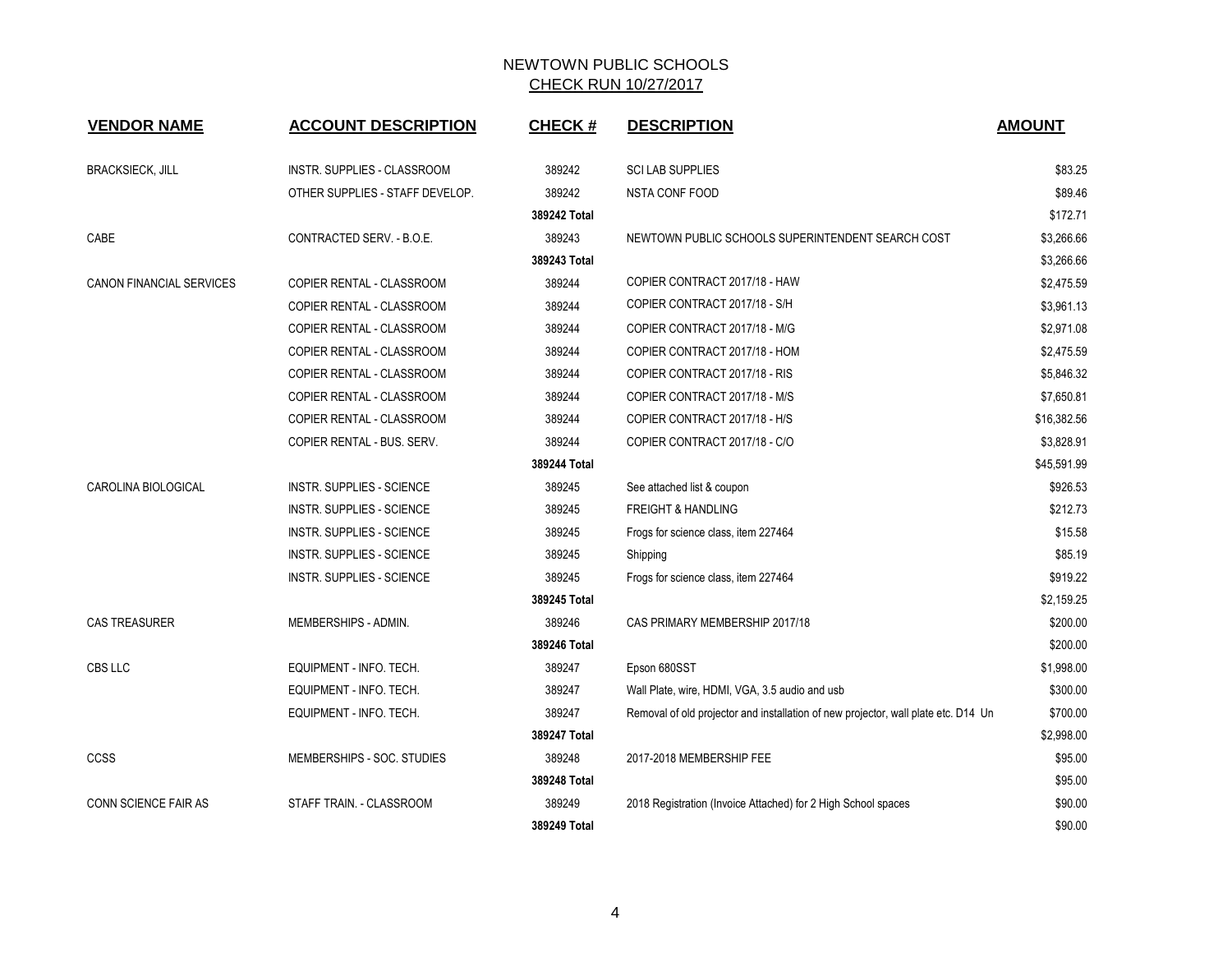| <b>VENDOR NAME</b>              | <b>ACCOUNT DESCRIPTION</b>      | <b>CHECK#</b> | <b>DESCRIPTION</b>                                                                 | <b>AMOUNT</b> |
|---------------------------------|---------------------------------|---------------|------------------------------------------------------------------------------------|---------------|
|                                 |                                 |               |                                                                                    |               |
| <b>BRACKSIECK, JILL</b>         | INSTR. SUPPLIES - CLASSROOM     | 389242        | <b>SCI LAB SUPPLIES</b>                                                            | \$83.25       |
|                                 | OTHER SUPPLIES - STAFF DEVELOP. | 389242        | <b>NSTA CONF FOOD</b>                                                              | \$89.46       |
|                                 |                                 | 389242 Total  |                                                                                    | \$172.71      |
| CABE                            | CONTRACTED SERV. - B.O.E.       | 389243        | NEWTOWN PUBLIC SCHOOLS SUPERINTENDENT SEARCH COST                                  | \$3,266.66    |
|                                 |                                 | 389243 Total  |                                                                                    | \$3,266.66    |
| <b>CANON FINANCIAL SERVICES</b> | COPIER RENTAL - CLASSROOM       | 389244        | COPIER CONTRACT 2017/18 - HAW                                                      | \$2,475.59    |
|                                 | COPIER RENTAL - CLASSROOM       | 389244        | COPIER CONTRACT 2017/18 - S/H                                                      | \$3,961.13    |
|                                 | COPIER RENTAL - CLASSROOM       | 389244        | COPIER CONTRACT 2017/18 - M/G                                                      | \$2,971.08    |
|                                 | COPIER RENTAL - CLASSROOM       | 389244        | COPIER CONTRACT 2017/18 - HOM                                                      | \$2,475.59    |
|                                 | COPIER RENTAL - CLASSROOM       | 389244        | COPIER CONTRACT 2017/18 - RIS                                                      | \$5,846.32    |
|                                 | COPIER RENTAL - CLASSROOM       | 389244        | COPIER CONTRACT 2017/18 - M/S                                                      | \$7,650.81    |
|                                 | COPIER RENTAL - CLASSROOM       | 389244        | COPIER CONTRACT 2017/18 - H/S                                                      | \$16,382.56   |
|                                 | COPIER RENTAL - BUS. SERV.      | 389244        | COPIER CONTRACT 2017/18 - C/O                                                      | \$3,828.91    |
|                                 |                                 | 389244 Total  |                                                                                    | \$45,591.99   |
| <b>CAROLINA BIOLOGICAL</b>      | INSTR. SUPPLIES - SCIENCE       | 389245        | See attached list & coupon                                                         | \$926.53      |
|                                 | INSTR. SUPPLIES - SCIENCE       | 389245        | <b>FREIGHT &amp; HANDLING</b>                                                      | \$212.73      |
|                                 | INSTR. SUPPLIES - SCIENCE       | 389245        | Frogs for science class, item 227464                                               | \$15.58       |
|                                 | INSTR. SUPPLIES - SCIENCE       | 389245        | Shipping                                                                           | \$85.19       |
|                                 | INSTR. SUPPLIES - SCIENCE       | 389245        | Frogs for science class, item 227464                                               | \$919.22      |
|                                 |                                 | 389245 Total  |                                                                                    | \$2,159.25    |
| <b>CAS TREASURER</b>            | MEMBERSHIPS - ADMIN.            | 389246        | CAS PRIMARY MEMBERSHIP 2017/18                                                     | \$200.00      |
|                                 |                                 | 389246 Total  |                                                                                    | \$200.00      |
| CBS LLC                         | EQUIPMENT - INFO. TECH.         | 389247        | Epson 680SST                                                                       | \$1,998.00    |
|                                 | EQUIPMENT - INFO. TECH.         | 389247        | Wall Plate, wire, HDMI, VGA, 3.5 audio and usb                                     | \$300.00      |
|                                 | EQUIPMENT - INFO. TECH.         | 389247        | Removal of old projector and installation of new projector, wall plate etc. D14 Un | \$700.00      |
|                                 |                                 | 389247 Total  |                                                                                    | \$2,998.00    |
| CCSS                            | MEMBERSHIPS - SOC. STUDIES      | 389248        | 2017-2018 MEMBERSHIP FEE                                                           | \$95.00       |
|                                 |                                 | 389248 Total  |                                                                                    | \$95.00       |
| <b>CONN SCIENCE FAIR AS</b>     | STAFF TRAIN. - CLASSROOM        | 389249        | 2018 Registration (Invoice Attached) for 2 High School spaces                      | \$90.00       |
|                                 |                                 | 389249 Total  |                                                                                    | \$90.00       |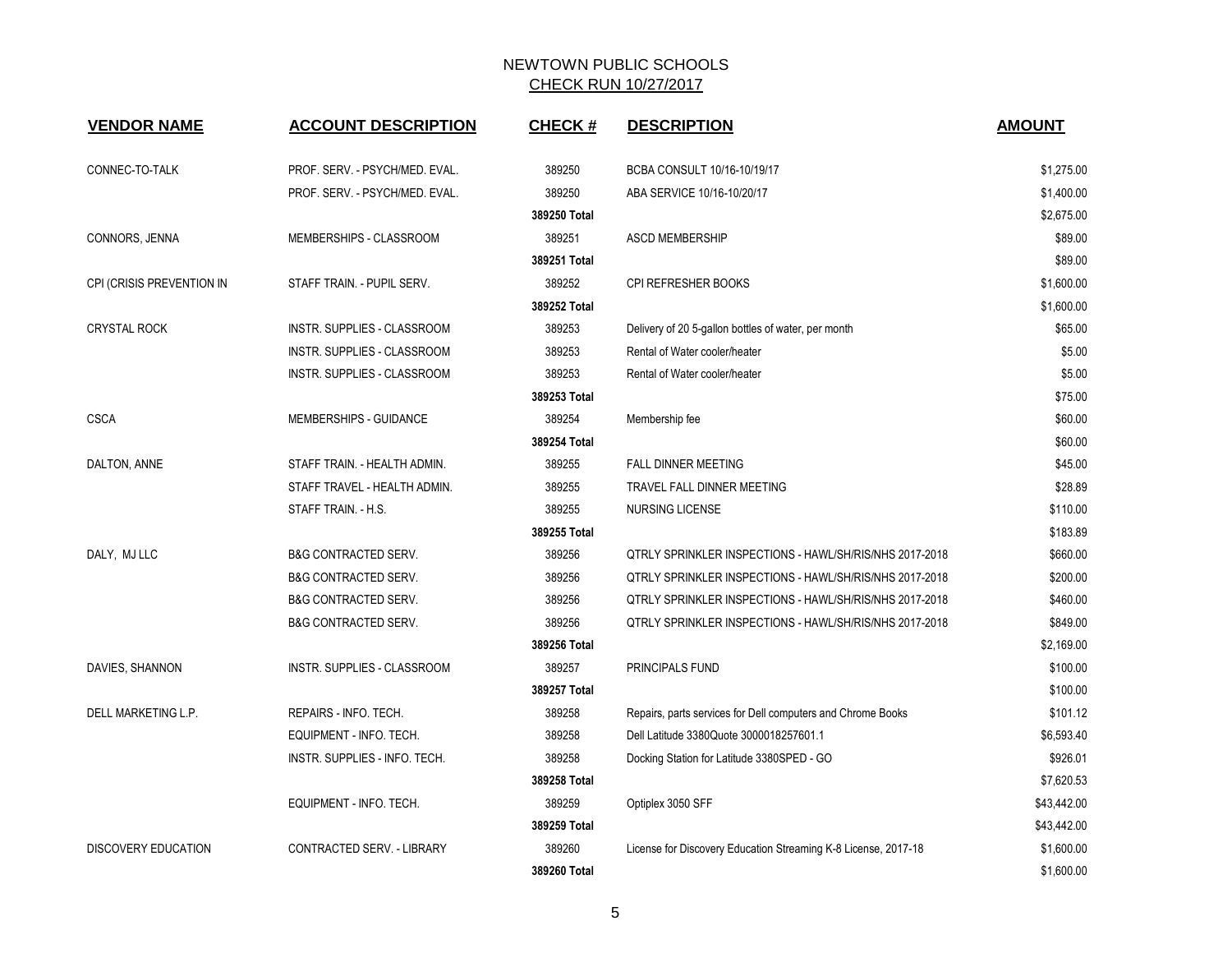| <b>VENDOR NAME</b>         | <b>ACCOUNT DESCRIPTION</b>      | <b>CHECK#</b> | <b>DESCRIPTION</b>                                             | <b>AMOUNT</b> |
|----------------------------|---------------------------------|---------------|----------------------------------------------------------------|---------------|
|                            |                                 |               |                                                                |               |
| CONNEC-TO-TALK             | PROF. SERV. - PSYCH/MED. EVAL.  | 389250        | BCBA CONSULT 10/16-10/19/17                                    | \$1,275.00    |
|                            | PROF. SERV. - PSYCH/MED. EVAL.  | 389250        | ABA SERVICE 10/16-10/20/17                                     | \$1,400.00    |
|                            |                                 | 389250 Total  |                                                                | \$2,675.00    |
| CONNORS, JENNA             | MEMBERSHIPS - CLASSROOM         | 389251        | <b>ASCD MEMBERSHIP</b>                                         | \$89.00       |
|                            |                                 | 389251 Total  |                                                                | \$89.00       |
| CPI (CRISIS PREVENTION IN  | STAFF TRAIN. - PUPIL SERV.      | 389252        | CPI REFRESHER BOOKS                                            | \$1,600.00    |
|                            |                                 | 389252 Total  |                                                                | \$1,600.00    |
| <b>CRYSTAL ROCK</b>        | INSTR. SUPPLIES - CLASSROOM     | 389253        | Delivery of 20 5-gallon bottles of water, per month            | \$65.00       |
|                            | INSTR. SUPPLIES - CLASSROOM     | 389253        | Rental of Water cooler/heater                                  | \$5.00        |
|                            | INSTR. SUPPLIES - CLASSROOM     | 389253        | Rental of Water cooler/heater                                  | \$5.00        |
|                            |                                 | 389253 Total  |                                                                | \$75.00       |
| <b>CSCA</b>                | MEMBERSHIPS - GUIDANCE          | 389254        | Membership fee                                                 | \$60.00       |
|                            |                                 | 389254 Total  |                                                                | \$60.00       |
| DALTON, ANNE               | STAFF TRAIN. - HEALTH ADMIN.    | 389255        | FALL DINNER MEETING                                            | \$45.00       |
|                            | STAFF TRAVEL - HEALTH ADMIN.    | 389255        | TRAVEL FALL DINNER MEETING                                     | \$28.89       |
|                            | STAFF TRAIN. - H.S.             | 389255        | NURSING LICENSE                                                | \$110.00      |
|                            |                                 | 389255 Total  |                                                                | \$183.89      |
| DALY, MJ LLC               | <b>B&amp;G CONTRACTED SERV.</b> | 389256        | QTRLY SPRINKLER INSPECTIONS - HAWL/SH/RIS/NHS 2017-2018        | \$660.00      |
|                            | <b>B&amp;G CONTRACTED SERV.</b> | 389256        | QTRLY SPRINKLER INSPECTIONS - HAWL/SH/RIS/NHS 2017-2018        | \$200.00      |
|                            | <b>B&amp;G CONTRACTED SERV.</b> | 389256        | QTRLY SPRINKLER INSPECTIONS - HAWL/SH/RIS/NHS 2017-2018        | \$460.00      |
|                            | <b>B&amp;G CONTRACTED SERV.</b> | 389256        | QTRLY SPRINKLER INSPECTIONS - HAWL/SH/RIS/NHS 2017-2018        | \$849.00      |
|                            |                                 | 389256 Total  |                                                                | \$2,169.00    |
| DAVIES, SHANNON            | INSTR. SUPPLIES - CLASSROOM     | 389257        | PRINCIPALS FUND                                                | \$100.00      |
|                            |                                 | 389257 Total  |                                                                | \$100.00      |
| DELL MARKETING L.P.        | REPAIRS - INFO. TECH.           | 389258        | Repairs, parts services for Dell computers and Chrome Books    | \$101.12      |
|                            | EQUIPMENT - INFO. TECH.         | 389258        | Dell Latitude 3380Quote 3000018257601.1                        | \$6,593.40    |
|                            | INSTR. SUPPLIES - INFO. TECH.   | 389258        | Docking Station for Latitude 3380SPED - GO                     | \$926.01      |
|                            |                                 | 389258 Total  |                                                                | \$7,620.53    |
|                            | EQUIPMENT - INFO. TECH.         | 389259        | Optiplex 3050 SFF                                              | \$43,442.00   |
|                            |                                 | 389259 Total  |                                                                | \$43,442.00   |
| <b>DISCOVERY EDUCATION</b> | CONTRACTED SERV. - LIBRARY      | 389260        | License for Discovery Education Streaming K-8 License, 2017-18 | \$1,600.00    |
|                            |                                 | 389260 Total  |                                                                | \$1,600.00    |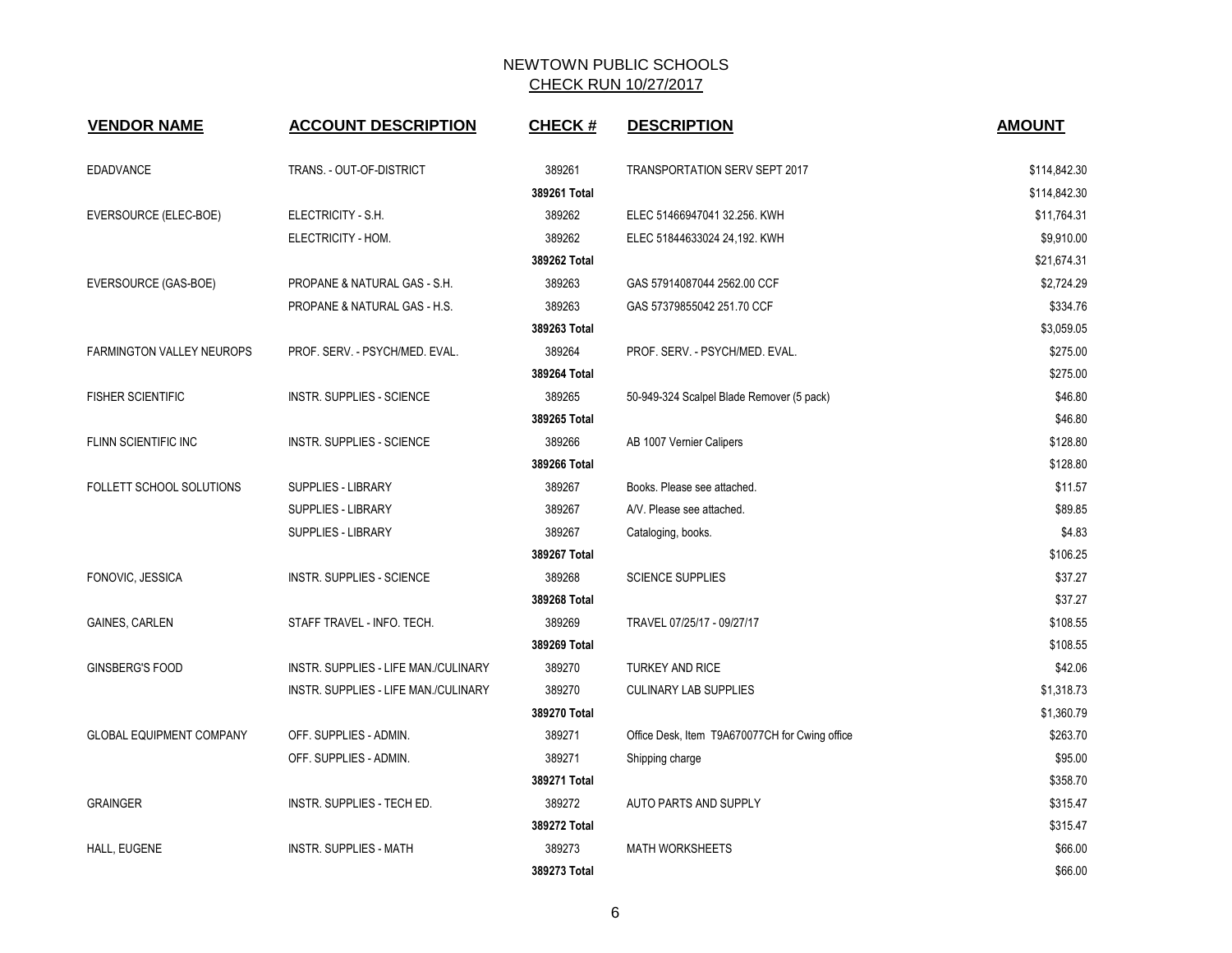| <b>VENDOR NAME</b>               | <b>ACCOUNT DESCRIPTION</b>           | <b>CHECK#</b> | <b>DESCRIPTION</b>                             | <b>AMOUNT</b> |
|----------------------------------|--------------------------------------|---------------|------------------------------------------------|---------------|
| <b>EDADVANCE</b>                 | TRANS. - OUT-OF-DISTRICT             | 389261        | <b>TRANSPORTATION SERV SEPT 2017</b>           | \$114,842.30  |
|                                  |                                      | 389261 Total  |                                                | \$114,842.30  |
| EVERSOURCE (ELEC-BOE)            | ELECTRICITY - S.H.                   | 389262        | ELEC 51466947041 32.256. KWH                   | \$11,764.31   |
|                                  | ELECTRICITY - HOM.                   | 389262        | ELEC 51844633024 24,192. KWH                   | \$9,910.00    |
|                                  |                                      | 389262 Total  |                                                | \$21,674.31   |
| EVERSOURCE (GAS-BOE)             | PROPANE & NATURAL GAS - S.H.         | 389263        | GAS 57914087044 2562.00 CCF                    | \$2,724.29    |
|                                  | PROPANE & NATURAL GAS - H.S.         | 389263        | GAS 57379855042 251.70 CCF                     | \$334.76      |
|                                  |                                      | 389263 Total  |                                                | \$3,059.05    |
| <b>FARMINGTON VALLEY NEUROPS</b> | PROF. SERV. - PSYCH/MED. EVAL.       | 389264        | PROF. SERV. - PSYCH/MED. EVAL.                 | \$275.00      |
|                                  |                                      | 389264 Total  |                                                | \$275.00      |
| <b>FISHER SCIENTIFIC</b>         | <b>INSTR. SUPPLIES - SCIENCE</b>     | 389265        | 50-949-324 Scalpel Blade Remover (5 pack)      | \$46.80       |
|                                  |                                      | 389265 Total  |                                                | \$46.80       |
| FLINN SCIENTIFIC INC             | <b>INSTR. SUPPLIES - SCIENCE</b>     | 389266        | AB 1007 Vernier Calipers                       | \$128.80      |
|                                  |                                      | 389266 Total  |                                                | \$128.80      |
| FOLLETT SCHOOL SOLUTIONS         | <b>SUPPLIES - LIBRARY</b>            | 389267        | Books. Please see attached.                    | \$11.57       |
|                                  | <b>SUPPLIES - LIBRARY</b>            | 389267        | A/V. Please see attached.                      | \$89.85       |
|                                  | SUPPLIES - LIBRARY                   | 389267        | Cataloging, books.                             | \$4.83        |
|                                  |                                      | 389267 Total  |                                                | \$106.25      |
| FONOVIC, JESSICA                 | <b>INSTR. SUPPLIES - SCIENCE</b>     | 389268        | <b>SCIENCE SUPPLIES</b>                        | \$37.27       |
|                                  |                                      | 389268 Total  |                                                | \$37.27       |
| <b>GAINES, CARLEN</b>            | STAFF TRAVEL - INFO. TECH.           | 389269        | TRAVEL 07/25/17 - 09/27/17                     | \$108.55      |
|                                  |                                      | 389269 Total  |                                                | \$108.55      |
| GINSBERG'S FOOD                  | INSTR. SUPPLIES - LIFE MAN./CULINARY | 389270        | <b>TURKEY AND RICE</b>                         | \$42.06       |
|                                  | INSTR. SUPPLIES - LIFE MAN./CULINARY | 389270        | <b>CULINARY LAB SUPPLIES</b>                   | \$1,318.73    |
|                                  |                                      | 389270 Total  |                                                | \$1,360.79    |
| <b>GLOBAL EQUIPMENT COMPANY</b>  | OFF. SUPPLIES - ADMIN.               | 389271        | Office Desk, Item T9A670077CH for Cwing office | \$263.70      |
|                                  | OFF. SUPPLIES - ADMIN.               | 389271        | Shipping charge                                | \$95.00       |
|                                  |                                      | 389271 Total  |                                                | \$358.70      |
| <b>GRAINGER</b>                  | <b>INSTR. SUPPLIES - TECH ED.</b>    | 389272        | AUTO PARTS AND SUPPLY                          | \$315.47      |
|                                  |                                      | 389272 Total  |                                                | \$315.47      |
| HALL, EUGENE                     | <b>INSTR. SUPPLIES - MATH</b>        | 389273        | <b>MATH WORKSHEETS</b>                         | \$66.00       |
|                                  |                                      | 389273 Total  |                                                | \$66.00       |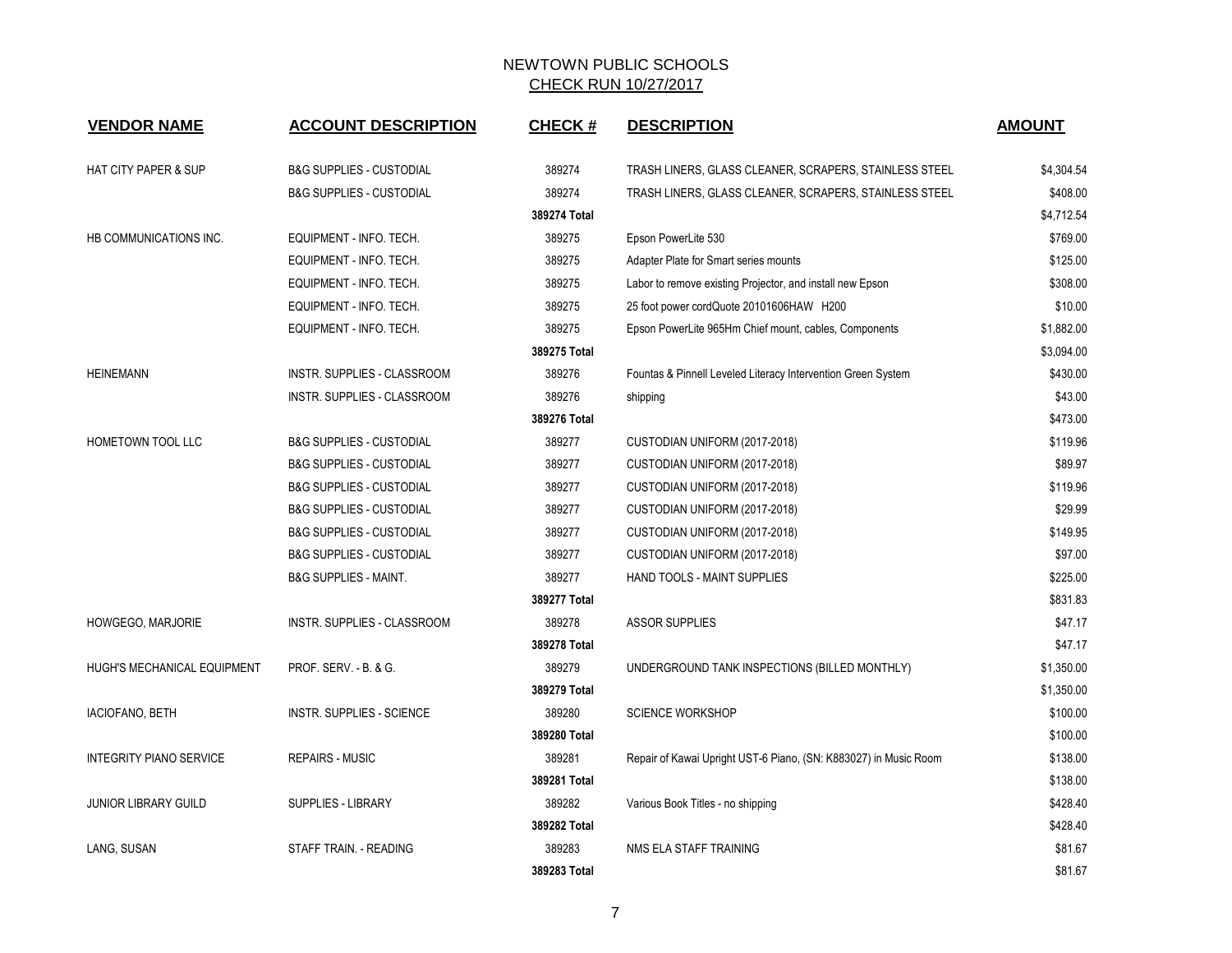| <b>VENDOR NAME</b>                 | <b>ACCOUNT DESCRIPTION</b>          | <b>CHECK#</b> | <b>DESCRIPTION</b>                                               | <b>AMOUNT</b> |
|------------------------------------|-------------------------------------|---------------|------------------------------------------------------------------|---------------|
| <b>HAT CITY PAPER &amp; SUP</b>    | <b>B&amp;G SUPPLIES - CUSTODIAL</b> | 389274        | TRASH LINERS, GLASS CLEANER, SCRAPERS, STAINLESS STEEL           | \$4,304.54    |
|                                    | <b>B&amp;G SUPPLIES - CUSTODIAL</b> | 389274        | TRASH LINERS, GLASS CLEANER, SCRAPERS, STAINLESS STEEL           | \$408.00      |
|                                    |                                     | 389274 Total  |                                                                  | \$4,712.54    |
| HB COMMUNICATIONS INC.             | EQUIPMENT - INFO. TECH.             | 389275        | Epson PowerLite 530                                              | \$769.00      |
|                                    | EQUIPMENT - INFO. TECH.             | 389275        | Adapter Plate for Smart series mounts                            | \$125.00      |
|                                    | EQUIPMENT - INFO. TECH.             | 389275        | Labor to remove existing Projector, and install new Epson        | \$308.00      |
|                                    | EQUIPMENT - INFO. TECH.             | 389275        | 25 foot power cordQuote 20101606HAW H200                         | \$10.00       |
|                                    | EQUIPMENT - INFO. TECH.             | 389275        | Epson PowerLite 965Hm Chief mount, cables, Components            | \$1,882.00    |
|                                    |                                     | 389275 Total  |                                                                  | \$3,094.00    |
| <b>HEINEMANN</b>                   | INSTR. SUPPLIES - CLASSROOM         | 389276        | Fountas & Pinnell Leveled Literacy Intervention Green System     | \$430.00      |
|                                    | INSTR. SUPPLIES - CLASSROOM         | 389276        | shipping                                                         | \$43.00       |
|                                    |                                     | 389276 Total  |                                                                  | \$473.00      |
| HOMETOWN TOOL LLC                  | <b>B&amp;G SUPPLIES - CUSTODIAL</b> | 389277        | CUSTODIAN UNIFORM (2017-2018)                                    | \$119.96      |
|                                    | <b>B&amp;G SUPPLIES - CUSTODIAL</b> | 389277        | CUSTODIAN UNIFORM (2017-2018)                                    | \$89.97       |
|                                    | <b>B&amp;G SUPPLIES - CUSTODIAL</b> | 389277        | CUSTODIAN UNIFORM (2017-2018)                                    | \$119.96      |
|                                    | <b>B&amp;G SUPPLIES - CUSTODIAL</b> | 389277        | CUSTODIAN UNIFORM (2017-2018)                                    | \$29.99       |
|                                    | <b>B&amp;G SUPPLIES - CUSTODIAL</b> | 389277        | CUSTODIAN UNIFORM (2017-2018)                                    | \$149.95      |
|                                    | <b>B&amp;G SUPPLIES - CUSTODIAL</b> | 389277        | CUSTODIAN UNIFORM (2017-2018)                                    | \$97.00       |
|                                    | <b>B&amp;G SUPPLIES - MAINT.</b>    | 389277        | HAND TOOLS - MAINT SUPPLIES                                      | \$225.00      |
|                                    |                                     | 389277 Total  |                                                                  | \$831.83      |
| HOWGEGO, MARJORIE                  | INSTR. SUPPLIES - CLASSROOM         | 389278        | <b>ASSOR SUPPLIES</b>                                            | \$47.17       |
|                                    |                                     | 389278 Total  |                                                                  | \$47.17       |
| <b>HUGH'S MECHANICAL EQUIPMENT</b> | PROF. SERV. - B. & G.               | 389279        | UNDERGROUND TANK INSPECTIONS (BILLED MONTHLY)                    | \$1,350.00    |
|                                    |                                     | 389279 Total  |                                                                  | \$1,350.00    |
| IACIOFANO, BETH                    | INSTR. SUPPLIES - SCIENCE           | 389280        | <b>SCIENCE WORKSHOP</b>                                          | \$100.00      |
|                                    |                                     | 389280 Total  |                                                                  | \$100.00      |
| <b>INTEGRITY PIANO SERVICE</b>     | <b>REPAIRS - MUSIC</b>              | 389281        | Repair of Kawai Upright UST-6 Piano, (SN: K883027) in Music Room | \$138.00      |
|                                    |                                     | 389281 Total  |                                                                  | \$138.00      |
| <b>JUNIOR LIBRARY GUILD</b>        | SUPPLIES - LIBRARY                  | 389282        | Various Book Titles - no shipping                                | \$428.40      |
|                                    |                                     | 389282 Total  |                                                                  | \$428.40      |
| LANG, SUSAN                        | STAFF TRAIN. - READING              | 389283        | NMS ELA STAFF TRAINING                                           | \$81.67       |
|                                    |                                     | 389283 Total  |                                                                  | \$81.67       |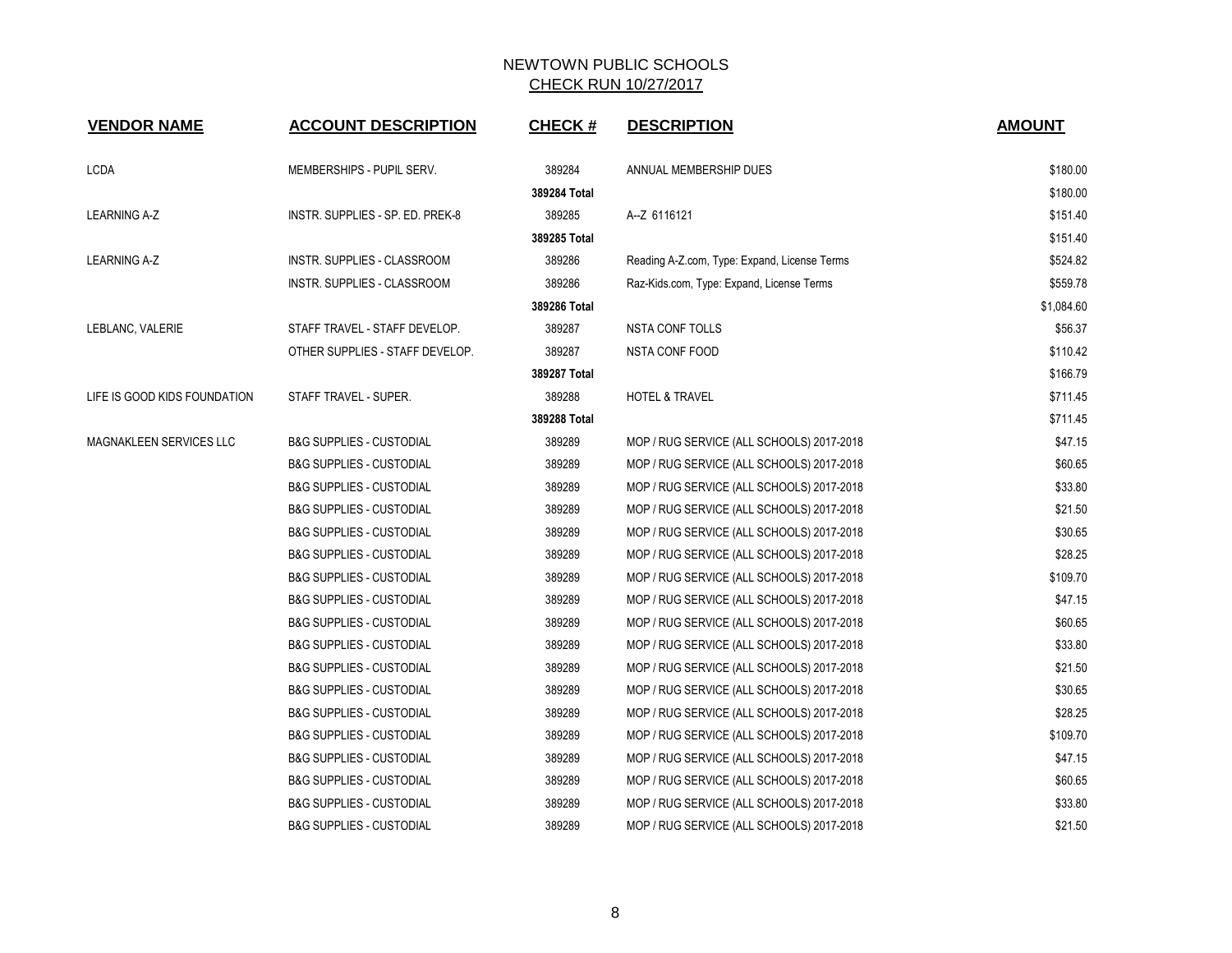| <b>VENDOR NAME</b>             | <b>ACCOUNT DESCRIPTION</b>          | <b>CHECK#</b> | <b>DESCRIPTION</b>                           | <b>AMOUNT</b> |
|--------------------------------|-------------------------------------|---------------|----------------------------------------------|---------------|
| LCDA                           | MEMBERSHIPS - PUPIL SERV.           | 389284        | ANNUAL MEMBERSHIP DUES                       | \$180.00      |
|                                |                                     | 389284 Total  |                                              | \$180.00      |
| <b>LEARNING A-Z</b>            | INSTR. SUPPLIES - SP. ED. PREK-8    | 389285        | A--Z 6116121                                 | \$151.40      |
|                                |                                     | 389285 Total  |                                              | \$151.40      |
| <b>LEARNING A-Z</b>            | INSTR. SUPPLIES - CLASSROOM         | 389286        | Reading A-Z.com, Type: Expand, License Terms | \$524.82      |
|                                | INSTR. SUPPLIES - CLASSROOM         | 389286        | Raz-Kids.com, Type: Expand, License Terms    | \$559.78      |
|                                |                                     | 389286 Total  |                                              | \$1,084.60    |
| LEBLANC, VALERIE               | STAFF TRAVEL - STAFF DEVELOP.       | 389287        | <b>NSTA CONF TOLLS</b>                       | \$56.37       |
|                                | OTHER SUPPLIES - STAFF DEVELOP.     | 389287        | <b>NSTA CONF FOOD</b>                        | \$110.42      |
|                                |                                     | 389287 Total  |                                              | \$166.79      |
| LIFE IS GOOD KIDS FOUNDATION   | STAFF TRAVEL - SUPER.               | 389288        | <b>HOTEL &amp; TRAVEL</b>                    | \$711.45      |
|                                |                                     | 389288 Total  |                                              | \$711.45      |
| <b>MAGNAKLEEN SERVICES LLC</b> | <b>B&amp;G SUPPLIES - CUSTODIAL</b> | 389289        | MOP / RUG SERVICE (ALL SCHOOLS) 2017-2018    | \$47.15       |
|                                | <b>B&amp;G SUPPLIES - CUSTODIAL</b> | 389289        | MOP / RUG SERVICE (ALL SCHOOLS) 2017-2018    | \$60.65       |
|                                | <b>B&amp;G SUPPLIES - CUSTODIAL</b> | 389289        | MOP / RUG SERVICE (ALL SCHOOLS) 2017-2018    | \$33.80       |
|                                | <b>B&amp;G SUPPLIES - CUSTODIAL</b> | 389289        | MOP / RUG SERVICE (ALL SCHOOLS) 2017-2018    | \$21.50       |
|                                | <b>B&amp;G SUPPLIES - CUSTODIAL</b> | 389289        | MOP / RUG SERVICE (ALL SCHOOLS) 2017-2018    | \$30.65       |
|                                | <b>B&amp;G SUPPLIES - CUSTODIAL</b> | 389289        | MOP / RUG SERVICE (ALL SCHOOLS) 2017-2018    | \$28.25       |
|                                | <b>B&amp;G SUPPLIES - CUSTODIAL</b> | 389289        | MOP / RUG SERVICE (ALL SCHOOLS) 2017-2018    | \$109.70      |
|                                | <b>B&amp;G SUPPLIES - CUSTODIAL</b> | 389289        | MOP / RUG SERVICE (ALL SCHOOLS) 2017-2018    | \$47.15       |
|                                | <b>B&amp;G SUPPLIES - CUSTODIAL</b> | 389289        | MOP / RUG SERVICE (ALL SCHOOLS) 2017-2018    | \$60.65       |
|                                | <b>B&amp;G SUPPLIES - CUSTODIAL</b> | 389289        | MOP / RUG SERVICE (ALL SCHOOLS) 2017-2018    | \$33.80       |
|                                | <b>B&amp;G SUPPLIES - CUSTODIAL</b> | 389289        | MOP / RUG SERVICE (ALL SCHOOLS) 2017-2018    | \$21.50       |
|                                | <b>B&amp;G SUPPLIES - CUSTODIAL</b> | 389289        | MOP / RUG SERVICE (ALL SCHOOLS) 2017-2018    | \$30.65       |
|                                | <b>B&amp;G SUPPLIES - CUSTODIAL</b> | 389289        | MOP / RUG SERVICE (ALL SCHOOLS) 2017-2018    | \$28.25       |
|                                | <b>B&amp;G SUPPLIES - CUSTODIAL</b> | 389289        | MOP / RUG SERVICE (ALL SCHOOLS) 2017-2018    | \$109.70      |
|                                | <b>B&amp;G SUPPLIES - CUSTODIAL</b> | 389289        | MOP / RUG SERVICE (ALL SCHOOLS) 2017-2018    | \$47.15       |
|                                | <b>B&amp;G SUPPLIES - CUSTODIAL</b> | 389289        | MOP / RUG SERVICE (ALL SCHOOLS) 2017-2018    | \$60.65       |
|                                | <b>B&amp;G SUPPLIES - CUSTODIAL</b> | 389289        | MOP / RUG SERVICE (ALL SCHOOLS) 2017-2018    | \$33.80       |
|                                | <b>B&amp;G SUPPLIES - CUSTODIAL</b> | 389289        | MOP / RUG SERVICE (ALL SCHOOLS) 2017-2018    | \$21.50       |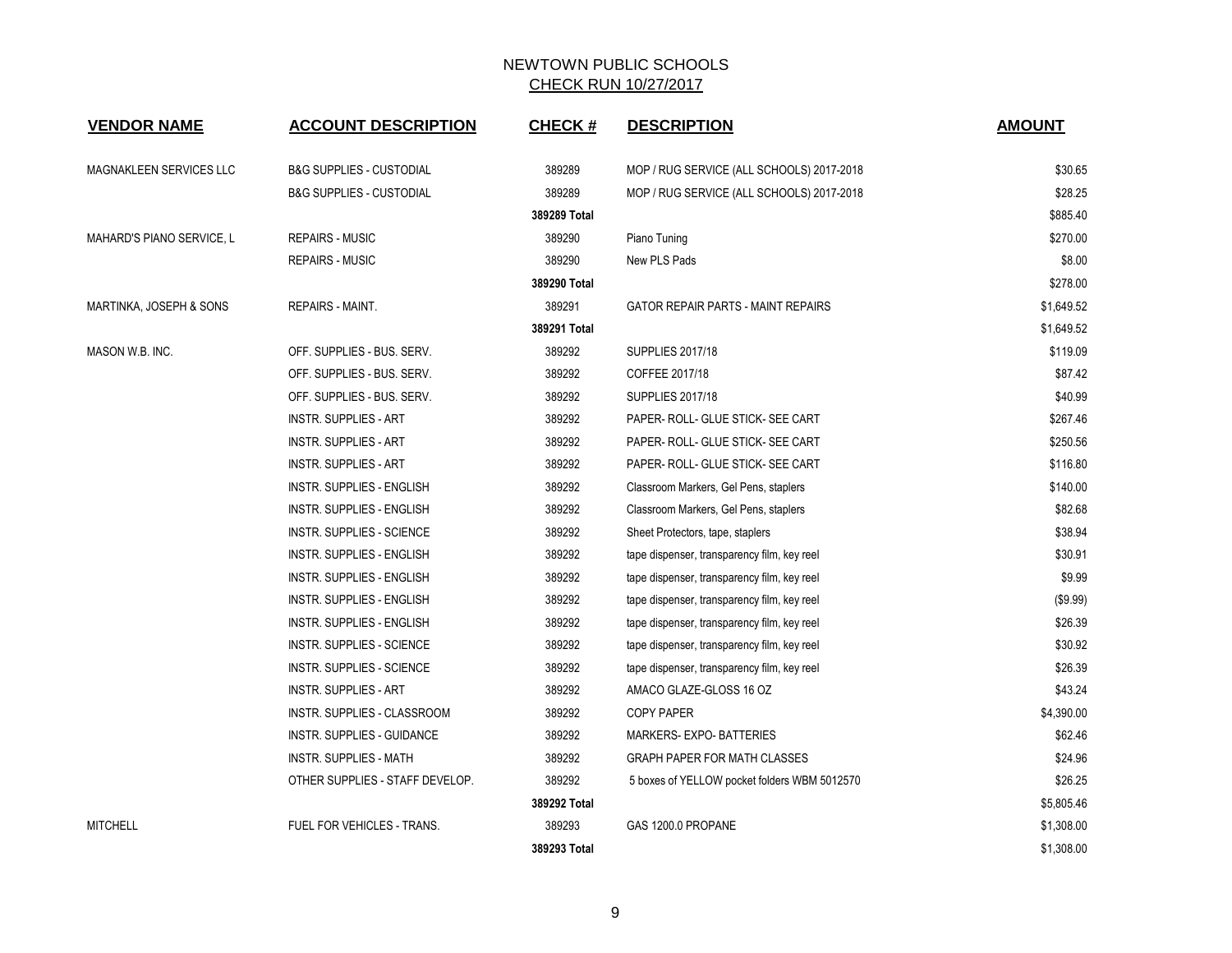| <b>VENDOR NAME</b>             | <b>ACCOUNT DESCRIPTION</b>          | <b>CHECK#</b> | <b>DESCRIPTION</b>                           | <b>AMOUNT</b> |
|--------------------------------|-------------------------------------|---------------|----------------------------------------------|---------------|
| <b>MAGNAKLEEN SERVICES LLC</b> | <b>B&amp;G SUPPLIES - CUSTODIAL</b> | 389289        | MOP / RUG SERVICE (ALL SCHOOLS) 2017-2018    | \$30.65       |
|                                | <b>B&amp;G SUPPLIES - CUSTODIAL</b> | 389289        | MOP / RUG SERVICE (ALL SCHOOLS) 2017-2018    | \$28.25       |
|                                |                                     | 389289 Total  |                                              | \$885.40      |
| MAHARD'S PIANO SERVICE, L      | <b>REPAIRS - MUSIC</b>              | 389290        | Piano Tuning                                 | \$270.00      |
|                                | <b>REPAIRS - MUSIC</b>              | 389290        | New PLS Pads                                 | \$8.00        |
|                                |                                     | 389290 Total  |                                              | \$278.00      |
| MARTINKA, JOSEPH & SONS        | REPAIRS - MAINT.                    | 389291        | <b>GATOR REPAIR PARTS - MAINT REPAIRS</b>    | \$1,649.52    |
|                                |                                     | 389291 Total  |                                              | \$1,649.52    |
| MASON W.B. INC.                | OFF. SUPPLIES - BUS. SERV.          | 389292        | <b>SUPPLIES 2017/18</b>                      | \$119.09      |
|                                | OFF. SUPPLIES - BUS. SERV.          | 389292        | COFFEE 2017/18                               | \$87.42       |
|                                | OFF. SUPPLIES - BUS. SERV.          | 389292        | <b>SUPPLIES 2017/18</b>                      | \$40.99       |
|                                | <b>INSTR. SUPPLIES - ART</b>        | 389292        | PAPER- ROLL- GLUE STICK- SEE CART            | \$267.46      |
|                                | <b>INSTR. SUPPLIES - ART</b>        | 389292        | PAPER- ROLL- GLUE STICK- SEE CART            | \$250.56      |
|                                | <b>INSTR. SUPPLIES - ART</b>        | 389292        | PAPER- ROLL- GLUE STICK- SEE CART            | \$116.80      |
|                                | <b>INSTR. SUPPLIES - ENGLISH</b>    | 389292        | Classroom Markers, Gel Pens, staplers        | \$140.00      |
|                                | <b>INSTR. SUPPLIES - ENGLISH</b>    | 389292        | Classroom Markers, Gel Pens, staplers        | \$82.68       |
|                                | <b>INSTR. SUPPLIES - SCIENCE</b>    | 389292        | Sheet Protectors, tape, staplers             | \$38.94       |
|                                | <b>INSTR. SUPPLIES - ENGLISH</b>    | 389292        | tape dispenser, transparency film, key reel  | \$30.91       |
|                                | INSTR. SUPPLIES - ENGLISH           | 389292        | tape dispenser, transparency film, key reel  | \$9.99        |
|                                | INSTR. SUPPLIES - ENGLISH           | 389292        | tape dispenser, transparency film, key reel  | (\$9.99)      |
|                                | INSTR. SUPPLIES - ENGLISH           | 389292        | tape dispenser, transparency film, key reel  | \$26.39       |
|                                | <b>INSTR. SUPPLIES - SCIENCE</b>    | 389292        | tape dispenser, transparency film, key reel  | \$30.92       |
|                                | <b>INSTR. SUPPLIES - SCIENCE</b>    | 389292        | tape dispenser, transparency film, key reel  | \$26.39       |
|                                | <b>INSTR. SUPPLIES - ART</b>        | 389292        | AMACO GLAZE-GLOSS 16 OZ                      | \$43.24       |
|                                | INSTR. SUPPLIES - CLASSROOM         | 389292        | <b>COPY PAPER</b>                            | \$4,390.00    |
|                                | <b>INSTR. SUPPLIES - GUIDANCE</b>   | 389292        | <b>MARKERS- EXPO- BATTERIES</b>              | \$62.46       |
|                                | <b>INSTR. SUPPLIES - MATH</b>       | 389292        | GRAPH PAPER FOR MATH CLASSES                 | \$24.96       |
|                                | OTHER SUPPLIES - STAFF DEVELOP.     | 389292        | 5 boxes of YELLOW pocket folders WBM 5012570 | \$26.25       |
|                                |                                     | 389292 Total  |                                              | \$5,805.46    |
| <b>MITCHELL</b>                | FUEL FOR VEHICLES - TRANS.          | 389293        | GAS 1200.0 PROPANE                           | \$1,308.00    |
|                                |                                     | 389293 Total  |                                              | \$1,308.00    |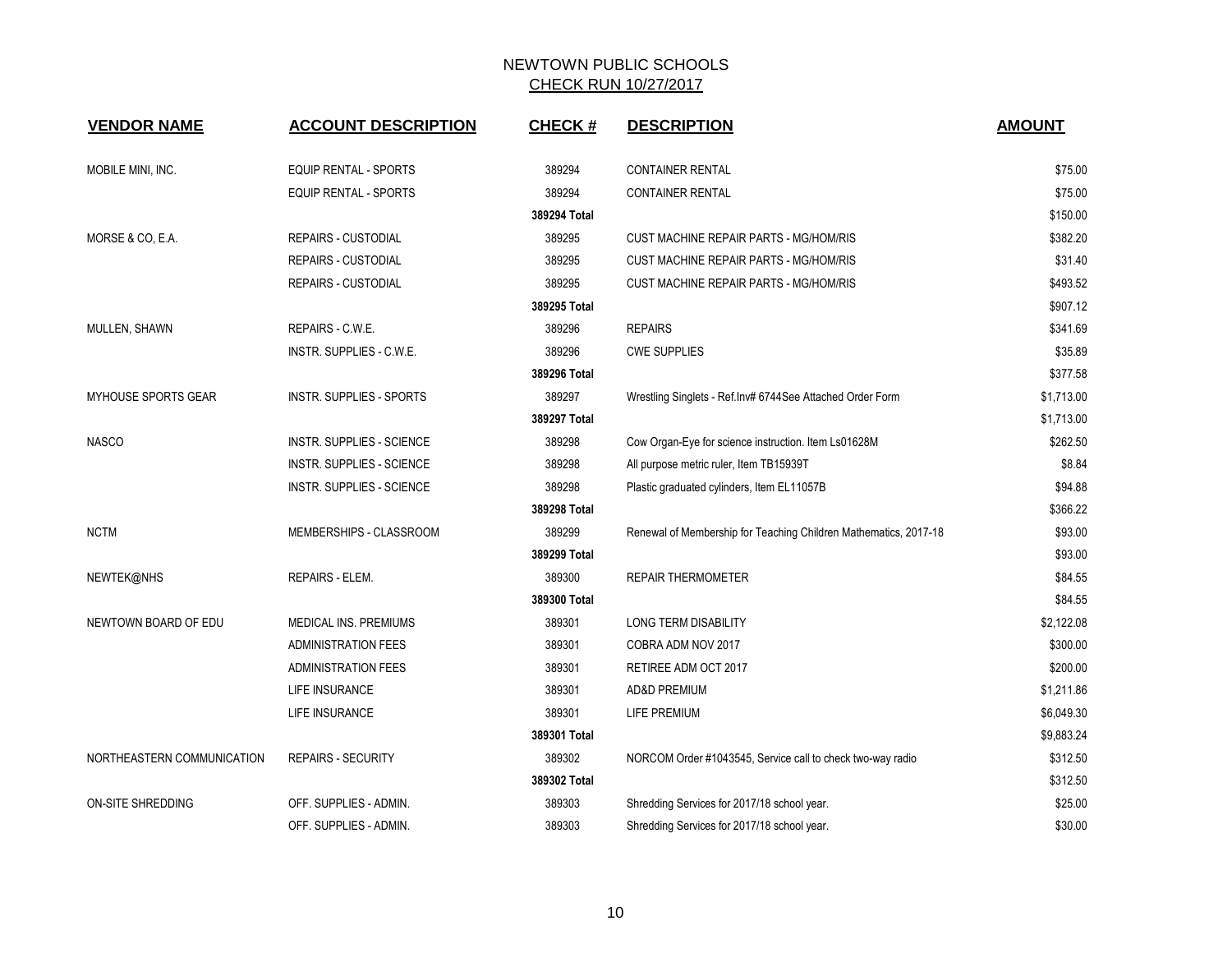| <b>VENDOR NAME</b>         | <b>ACCOUNT DESCRIPTION</b>   | <b>CHECK#</b> | <b>DESCRIPTION</b>                                               | <b>AMOUNT</b> |
|----------------------------|------------------------------|---------------|------------------------------------------------------------------|---------------|
|                            |                              |               |                                                                  |               |
| MOBILE MINI, INC.          | EQUIP RENTAL - SPORTS        | 389294        | <b>CONTAINER RENTAL</b>                                          | \$75.00       |
|                            | <b>EQUIP RENTAL - SPORTS</b> | 389294        | <b>CONTAINER RENTAL</b>                                          | \$75.00       |
|                            |                              | 389294 Total  |                                                                  | \$150.00      |
| MORSE & CO, E.A.           | <b>REPAIRS - CUSTODIAL</b>   | 389295        | CUST MACHINE REPAIR PARTS - MG/HOM/RIS                           | \$382.20      |
|                            | <b>REPAIRS - CUSTODIAL</b>   | 389295        | <b>CUST MACHINE REPAIR PARTS - MG/HOM/RIS</b>                    | \$31.40       |
|                            | <b>REPAIRS - CUSTODIAL</b>   | 389295        | CUST MACHINE REPAIR PARTS - MG/HOM/RIS                           | \$493.52      |
|                            |                              | 389295 Total  |                                                                  | \$907.12      |
| MULLEN, SHAWN              | REPAIRS - C.W.E.             | 389296        | <b>REPAIRS</b>                                                   | \$341.69      |
|                            | INSTR. SUPPLIES - C.W.E.     | 389296        | <b>CWE SUPPLIES</b>                                              | \$35.89       |
|                            |                              | 389296 Total  |                                                                  | \$377.58      |
| <b>MYHOUSE SPORTS GEAR</b> | INSTR. SUPPLIES - SPORTS     | 389297        | Wrestling Singlets - Ref.Inv# 6744See Attached Order Form        | \$1,713.00    |
|                            |                              | 389297 Total  |                                                                  | \$1,713.00    |
| <b>NASCO</b>               | INSTR. SUPPLIES - SCIENCE    | 389298        | Cow Organ-Eye for science instruction. Item Ls01628M             | \$262.50      |
|                            | INSTR. SUPPLIES - SCIENCE    | 389298        | All purpose metric ruler, Item TB15939T                          | \$8.84        |
|                            | INSTR. SUPPLIES - SCIENCE    | 389298        | Plastic graduated cylinders, Item EL11057B                       | \$94.88       |
|                            |                              | 389298 Total  |                                                                  | \$366.22      |
| <b>NCTM</b>                | MEMBERSHIPS - CLASSROOM      | 389299        | Renewal of Membership for Teaching Children Mathematics, 2017-18 | \$93.00       |
|                            |                              | 389299 Total  |                                                                  | \$93.00       |
| NEWTEK@NHS                 | REPAIRS - ELEM.              | 389300        | <b>REPAIR THERMOMETER</b>                                        | \$84.55       |
|                            |                              | 389300 Total  |                                                                  | \$84.55       |
| NEWTOWN BOARD OF EDU       | MEDICAL INS. PREMIUMS        | 389301        | <b>LONG TERM DISABILITY</b>                                      | \$2,122.08    |
|                            | <b>ADMINISTRATION FEES</b>   | 389301        | COBRA ADM NOV 2017                                               | \$300.00      |
|                            | <b>ADMINISTRATION FEES</b>   | 389301        | RETIREE ADM OCT 2017                                             | \$200.00      |
|                            | <b>LIFE INSURANCE</b>        | 389301        | <b>AD&amp;D PREMIUM</b>                                          | \$1,211.86    |
|                            | LIFE INSURANCE               | 389301        | LIFE PREMIUM                                                     | \$6,049.30    |
|                            |                              | 389301 Total  |                                                                  | \$9,883.24    |
| NORTHEASTERN COMMUNICATION | <b>REPAIRS - SECURITY</b>    | 389302        | NORCOM Order #1043545, Service call to check two-way radio       | \$312.50      |
|                            |                              | 389302 Total  |                                                                  | \$312.50      |
| ON-SITE SHREDDING          | OFF. SUPPLIES - ADMIN.       | 389303        | Shredding Services for 2017/18 school year.                      | \$25.00       |
|                            | OFF. SUPPLIES - ADMIN.       | 389303        | Shredding Services for 2017/18 school year.                      | \$30.00       |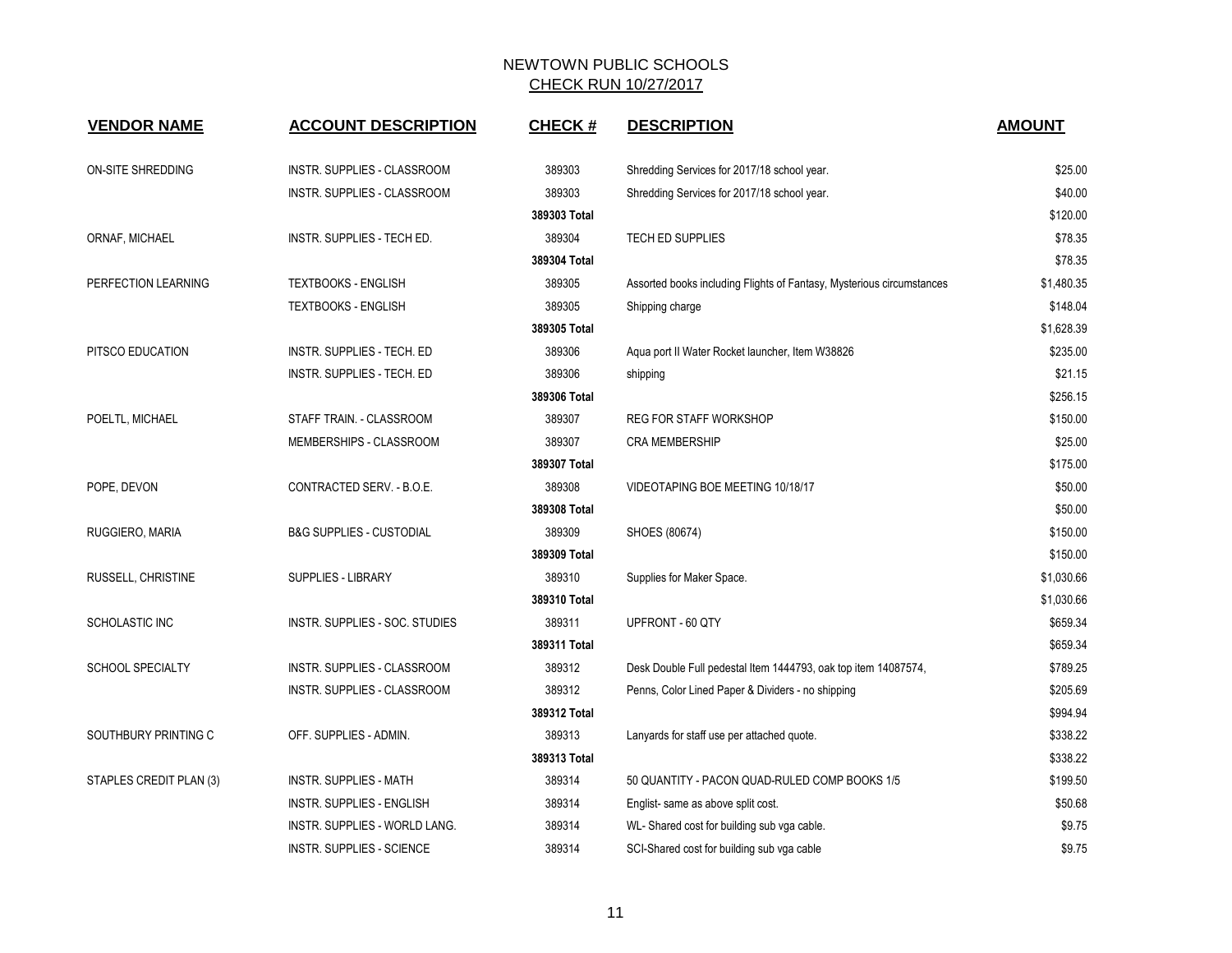| <b>VENDOR NAME</b>      | <b>ACCOUNT DESCRIPTION</b>          | <b>CHECK#</b> | <b>DESCRIPTION</b>                                                    | <b>AMOUNT</b> |
|-------------------------|-------------------------------------|---------------|-----------------------------------------------------------------------|---------------|
| ON-SITE SHREDDING       | INSTR. SUPPLIES - CLASSROOM         | 389303        | Shredding Services for 2017/18 school year.                           | \$25.00       |
|                         | INSTR. SUPPLIES - CLASSROOM         | 389303        | Shredding Services for 2017/18 school year.                           | \$40.00       |
|                         |                                     | 389303 Total  |                                                                       | \$120.00      |
| ORNAF, MICHAEL          | INSTR. SUPPLIES - TECH ED.          | 389304        | <b>TECH ED SUPPLIES</b>                                               | \$78.35       |
|                         |                                     | 389304 Total  |                                                                       | \$78.35       |
| PERFECTION LEARNING     | <b>TEXTBOOKS - ENGLISH</b>          | 389305        | Assorted books including Flights of Fantasy, Mysterious circumstances | \$1,480.35    |
|                         | <b>TEXTBOOKS - ENGLISH</b>          | 389305        | Shipping charge                                                       | \$148.04      |
|                         |                                     | 389305 Total  |                                                                       | \$1,628.39    |
| PITSCO EDUCATION        | INSTR. SUPPLIES - TECH. ED          | 389306        | Aqua port II Water Rocket launcher, Item W38826                       | \$235.00      |
|                         | INSTR. SUPPLIES - TECH. ED          | 389306        | shipping                                                              | \$21.15       |
|                         |                                     | 389306 Total  |                                                                       | \$256.15      |
| POELTL, MICHAEL         | STAFF TRAIN. - CLASSROOM            | 389307        | <b>REG FOR STAFF WORKSHOP</b>                                         | \$150.00      |
|                         | MEMBERSHIPS - CLASSROOM             | 389307        | <b>CRA MEMBERSHIP</b>                                                 | \$25.00       |
|                         |                                     | 389307 Total  |                                                                       | \$175.00      |
| POPE, DEVON             | CONTRACTED SERV. - B.O.E.           | 389308        | VIDEOTAPING BOE MEETING 10/18/17                                      | \$50.00       |
|                         |                                     | 389308 Total  |                                                                       | \$50.00       |
| RUGGIERO, MARIA         | <b>B&amp;G SUPPLIES - CUSTODIAL</b> | 389309        | SHOES (80674)                                                         | \$150.00      |
|                         |                                     | 389309 Total  |                                                                       | \$150.00      |
| RUSSELL, CHRISTINE      | <b>SUPPLIES - LIBRARY</b>           | 389310        | Supplies for Maker Space.                                             | \$1,030.66    |
|                         |                                     | 389310 Total  |                                                                       | \$1,030.66    |
| SCHOLASTIC INC          | INSTR. SUPPLIES - SOC. STUDIES      | 389311        | UPFRONT - 60 QTY                                                      | \$659.34      |
|                         |                                     | 389311 Total  |                                                                       | \$659.34      |
| <b>SCHOOL SPECIALTY</b> | INSTR. SUPPLIES - CLASSROOM         | 389312        | Desk Double Full pedestal Item 1444793, oak top item 14087574,        | \$789.25      |
|                         | INSTR. SUPPLIES - CLASSROOM         | 389312        | Penns, Color Lined Paper & Dividers - no shipping                     | \$205.69      |
|                         |                                     | 389312 Total  |                                                                       | \$994.94      |
| SOUTHBURY PRINTING C    | OFF. SUPPLIES - ADMIN.              | 389313        | Lanyards for staff use per attached quote.                            | \$338.22      |
|                         |                                     | 389313 Total  |                                                                       | \$338.22      |
| STAPLES CREDIT PLAN (3) | <b>INSTR. SUPPLIES - MATH</b>       | 389314        | 50 QUANTITY - PACON QUAD-RULED COMP BOOKS 1/5                         | \$199.50      |
|                         | INSTR. SUPPLIES - ENGLISH           | 389314        | Englist- same as above split cost.                                    | \$50.68       |
|                         | INSTR. SUPPLIES - WORLD LANG.       | 389314        | WL- Shared cost for building sub vga cable.                           | \$9.75        |
|                         | <b>INSTR. SUPPLIES - SCIENCE</b>    | 389314        | SCI-Shared cost for building sub vga cable                            | \$9.75        |